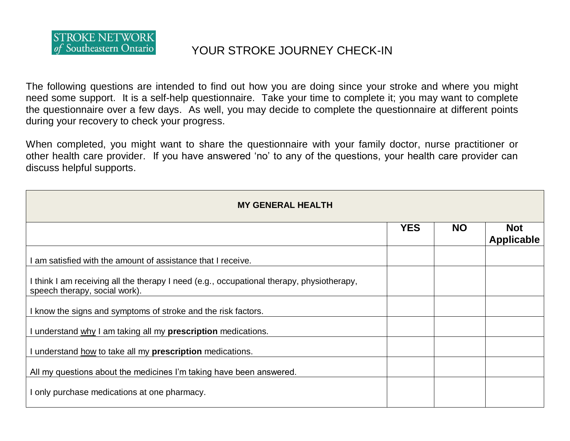

## of Southeastern Ontario **XOUR STROKE JOURNEY CHECK-IN**

The following questions are intended to find out how you are doing since your stroke and where you might need some support. It is a self-help questionnaire. Take your time to complete it; you may want to complete the questionnaire over a few days. As well, you may decide to complete the questionnaire at different points during your recovery to check your progress.

When completed, you might want to share the questionnaire with your family doctor, nurse practitioner or other health care provider. If you have answered 'no' to any of the questions, your health care provider can discuss helpful supports.

| <b>MY GENERAL HEALTH</b>                                                                                                   |            |           |                                 |
|----------------------------------------------------------------------------------------------------------------------------|------------|-----------|---------------------------------|
|                                                                                                                            | <b>YES</b> | <b>NO</b> | <b>Not</b><br><b>Applicable</b> |
| am satisfied with the amount of assistance that I receive.                                                                 |            |           |                                 |
| I think I am receiving all the therapy I need (e.g., occupational therapy, physiotherapy,<br>speech therapy, social work). |            |           |                                 |
| I know the signs and symptoms of stroke and the risk factors.                                                              |            |           |                                 |
| I understand why I am taking all my prescription medications.                                                              |            |           |                                 |
| I understand how to take all my prescription medications.                                                                  |            |           |                                 |
| All my questions about the medicines I'm taking have been answered.                                                        |            |           |                                 |
| I only purchase medications at one pharmacy.                                                                               |            |           |                                 |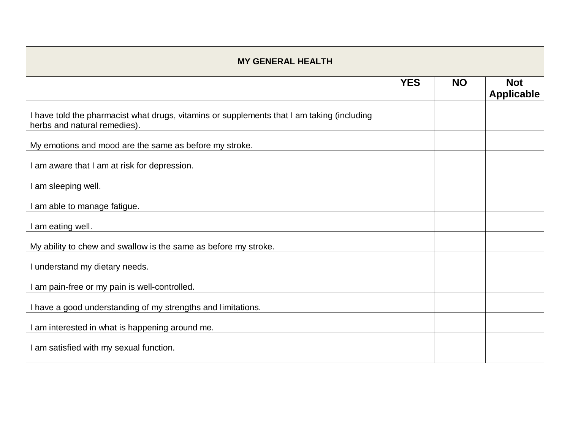| <b>MY GENERAL HEALTH</b>                                                                                                   |            |           |                                 |
|----------------------------------------------------------------------------------------------------------------------------|------------|-----------|---------------------------------|
|                                                                                                                            | <b>YES</b> | <b>NO</b> | <b>Not</b><br><b>Applicable</b> |
| I have told the pharmacist what drugs, vitamins or supplements that I am taking (including<br>herbs and natural remedies). |            |           |                                 |
| My emotions and mood are the same as before my stroke.                                                                     |            |           |                                 |
| am aware that I am at risk for depression.                                                                                 |            |           |                                 |
| I am sleeping well.                                                                                                        |            |           |                                 |
| am able to manage fatigue.                                                                                                 |            |           |                                 |
| I am eating well.                                                                                                          |            |           |                                 |
| My ability to chew and swallow is the same as before my stroke.                                                            |            |           |                                 |
| understand my dietary needs.                                                                                               |            |           |                                 |
| I am pain-free or my pain is well-controlled.                                                                              |            |           |                                 |
| I have a good understanding of my strengths and limitations.                                                               |            |           |                                 |
| I am interested in what is happening around me.                                                                            |            |           |                                 |
| I am satisfied with my sexual function.                                                                                    |            |           |                                 |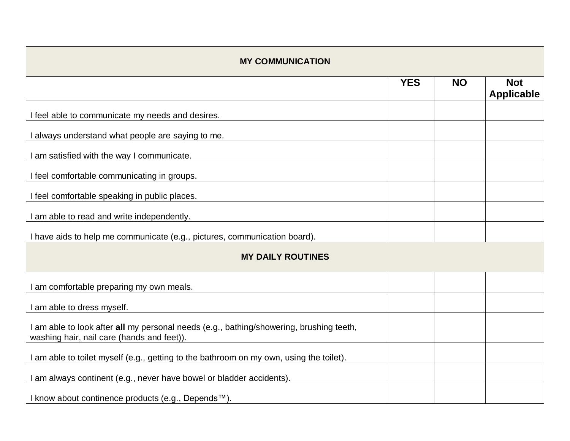| <b>MY COMMUNICATION</b>                                                                                                               |            |           |                                 |
|---------------------------------------------------------------------------------------------------------------------------------------|------------|-----------|---------------------------------|
|                                                                                                                                       | <b>YES</b> | <b>NO</b> | <b>Not</b><br><b>Applicable</b> |
| I feel able to communicate my needs and desires.                                                                                      |            |           |                                 |
| I always understand what people are saying to me.                                                                                     |            |           |                                 |
| I am satisfied with the way I communicate.                                                                                            |            |           |                                 |
| I feel comfortable communicating in groups.                                                                                           |            |           |                                 |
| I feel comfortable speaking in public places.                                                                                         |            |           |                                 |
| I am able to read and write independently.                                                                                            |            |           |                                 |
| I have aids to help me communicate (e.g., pictures, communication board).                                                             |            |           |                                 |
| <b>MY DAILY ROUTINES</b>                                                                                                              |            |           |                                 |
| I am comfortable preparing my own meals.                                                                                              |            |           |                                 |
| I am able to dress myself.                                                                                                            |            |           |                                 |
| I am able to look after all my personal needs (e.g., bathing/showering, brushing teeth,<br>washing hair, nail care (hands and feet)). |            |           |                                 |
| I am able to toilet myself (e.g., getting to the bathroom on my own, using the toilet).                                               |            |           |                                 |
| I am always continent (e.g., never have bowel or bladder accidents).                                                                  |            |           |                                 |
| I know about continence products (e.g., Depends™).                                                                                    |            |           |                                 |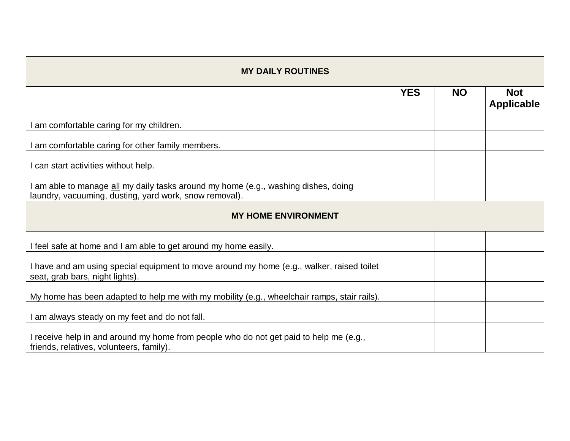| <b>MY DAILY ROUTINES</b>                                                                                                                     |            |           |                                 |
|----------------------------------------------------------------------------------------------------------------------------------------------|------------|-----------|---------------------------------|
|                                                                                                                                              | <b>YES</b> | <b>NO</b> | <b>Not</b><br><b>Applicable</b> |
| am comfortable caring for my children.                                                                                                       |            |           |                                 |
| I am comfortable caring for other family members.                                                                                            |            |           |                                 |
| I can start activities without help.                                                                                                         |            |           |                                 |
| I am able to manage all my daily tasks around my home (e.g., washing dishes, doing<br>laundry, vacuuming, dusting, yard work, snow removal). |            |           |                                 |
| <b>MY HOME ENVIRONMENT</b>                                                                                                                   |            |           |                                 |
| I feel safe at home and I am able to get around my home easily.                                                                              |            |           |                                 |
| I have and am using special equipment to move around my home (e.g., walker, raised toilet<br>seat, grab bars, night lights).                 |            |           |                                 |
| My home has been adapted to help me with my mobility (e.g., wheelchair ramps, stair rails).                                                  |            |           |                                 |
| I am always steady on my feet and do not fall.                                                                                               |            |           |                                 |
| I receive help in and around my home from people who do not get paid to help me (e.g.,<br>friends, relatives, volunteers, family).           |            |           |                                 |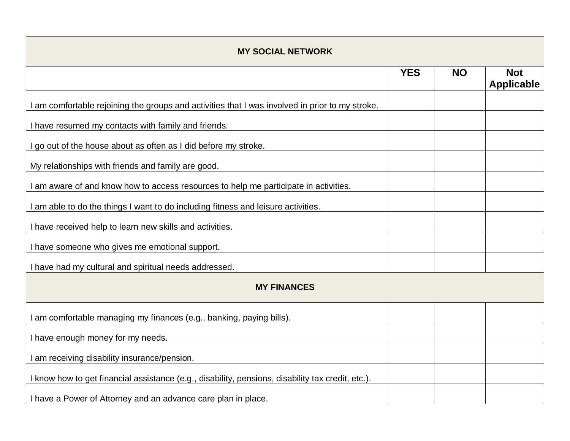| <b>MY SOCIAL NETWORK</b>                                                                          |            |           |                                 |
|---------------------------------------------------------------------------------------------------|------------|-----------|---------------------------------|
|                                                                                                   | <b>YES</b> | <b>NO</b> | <b>Not</b><br><b>Applicable</b> |
| I am comfortable rejoining the groups and activities that I was involved in prior to my stroke.   |            |           |                                 |
| I have resumed my contacts with family and friends.                                               |            |           |                                 |
| I go out of the house about as often as I did before my stroke.                                   |            |           |                                 |
| My relationships with friends and family are good.                                                |            |           |                                 |
| I am aware of and know how to access resources to help me participate in activities.              |            |           |                                 |
| I am able to do the things I want to do including fitness and leisure activities.                 |            |           |                                 |
| I have received help to learn new skills and activities.                                          |            |           |                                 |
| I have someone who gives me emotional support.                                                    |            |           |                                 |
| I have had my cultural and spiritual needs addressed.                                             |            |           |                                 |
| <b>MY FINANCES</b>                                                                                |            |           |                                 |
| I am comfortable managing my finances (e.g., banking, paying bills).                              |            |           |                                 |
| I have enough money for my needs.                                                                 |            |           |                                 |
| I am receiving disability insurance/pension.                                                      |            |           |                                 |
| I know how to get financial assistance (e.g., disability, pensions, disability tax credit, etc.). |            |           |                                 |
| I have a Power of Attorney and an advance care plan in place.                                     |            |           |                                 |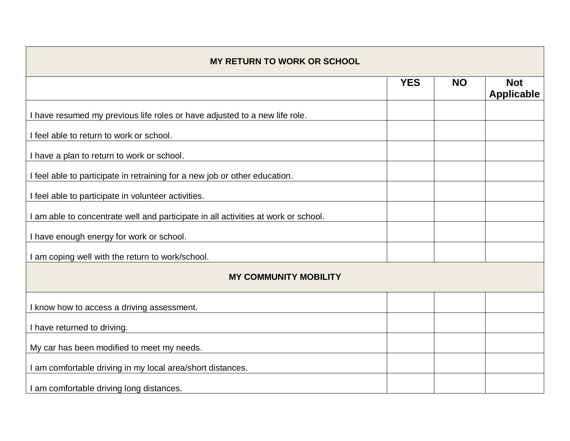| <b>MY RETURN TO WORK OR SCHOOL</b>                                                 |            |           |                                 |
|------------------------------------------------------------------------------------|------------|-----------|---------------------------------|
|                                                                                    | <b>YES</b> | <b>NO</b> | <b>Not</b><br><b>Applicable</b> |
| I have resumed my previous life roles or have adjusted to a new life role.         |            |           |                                 |
| I feel able to return to work or school.                                           |            |           |                                 |
| I have a plan to return to work or school.                                         |            |           |                                 |
| I feel able to participate in retraining for a new job or other education.         |            |           |                                 |
| I feel able to participate in volunteer activities.                                |            |           |                                 |
| I am able to concentrate well and participate in all activities at work or school. |            |           |                                 |
| I have enough energy for work or school.                                           |            |           |                                 |
| I am coping well with the return to work/school.                                   |            |           |                                 |
| <b>MY COMMUNITY MOBILITY</b>                                                       |            |           |                                 |
| I know how to access a driving assessment.                                         |            |           |                                 |
| I have returned to driving.                                                        |            |           |                                 |
| My car has been modified to meet my needs.                                         |            |           |                                 |
| I am comfortable driving in my local area/short distances.                         |            |           |                                 |
| I am comfortable driving long distances.                                           |            |           |                                 |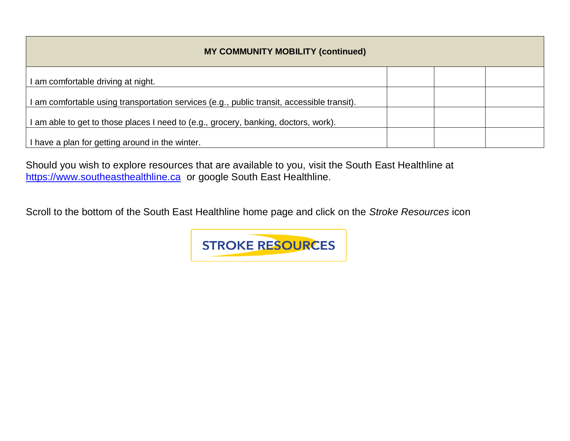| <b>MY COMMUNITY MOBILITY (continued)</b>                                                   |  |  |
|--------------------------------------------------------------------------------------------|--|--|
| I am comfortable driving at night.                                                         |  |  |
| I am comfortable using transportation services (e.g., public transit, accessible transit). |  |  |
| I am able to get to those places I need to (e.g., grocery, banking, doctors, work).        |  |  |
| I have a plan for getting around in the winter.                                            |  |  |

Should you wish to explore resources that are available to you, visit the South East Healthline at [https://www.southeasthealthline.ca](https://www.southeasthealthline.ca/) or google South East Healthline.

Scroll to the bottom of the South East Healthline home page and click on the *Stroke Resources* icon